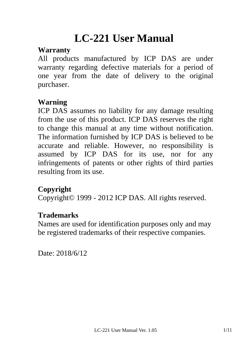# **LC-221 User Manual**

#### **Warranty**

All products manufactured by ICP DAS are under warranty regarding defective materials for a period of one year from the date of delivery to the original purchaser.

#### **Warning**

ICP DAS assumes no liability for any damage resulting from the use of this product. ICP DAS reserves the right to change this manual at any time without notification. The information furnished by ICP DAS is believed to be accurate and reliable. However, no responsibility is assumed by ICP DAS for its use, nor for any infringements of patents or other rights of third parties resulting from its use.

### **Copyright**

Copyright© 1999 - 2012 ICP DAS. All rights reserved.

#### **Trademarks**

Names are used for identification purposes only and may be registered trademarks of their respective companies.

Date: 2018/6/12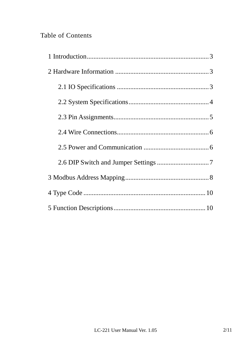#### Table of Contents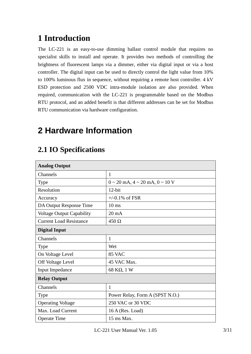# **1 Introduction**

The LC-221 is an easy-to-use dimming ballast control module that requires no specialist skills to install and operate. It provides two methods of controlling the brightness of fluorescent lamps via a dimmer, either via digital input or via a host controller. The digital input can be used to directly control the light value from 10% to 100% luminous flux in sequence, without requiring a remote host controller. 4 kV ESD protection and 2500 VDC intra-module isolation are also provided. When required, communication with the LC-221 is programmable based on the Modbus RTU protocol, and an added benefit is that different addresses can be set for Modbus RTU communication via hardware configuration.

# **2 Hardware Information**

| <b>Analog Output</b>           |                                               |
|--------------------------------|-----------------------------------------------|
| Channels                       | $\mathbf{1}$                                  |
| <b>Type</b>                    | $0 \sim 20$ mA, $4 \sim 20$ mA, $0 \sim 10$ V |
| Resolution                     | $12$ -bit                                     |
| Accuracy                       | $+/-0.1\%$ of FSR                             |
| DA Output Response Time        | $10 \text{ ms}$                               |
| Voltage Output Capability      | $20 \text{ mA}$                               |
| <b>Current Load Resistance</b> | $450 \Omega$                                  |
| <b>Digital Input</b>           |                                               |
| Channels                       | $\mathbf{1}$                                  |
| <b>Type</b>                    | Wet                                           |
| On Voltage Level               | 85 VAC                                        |
| Off Voltage Level              | 45 VAC Max.                                   |
| <b>Input Impedance</b>         | 68 KΩ, 1 W                                    |
| <b>Relay Output</b>            |                                               |
| Channels                       | $\mathbf{1}$                                  |
| Type                           | Power Relay, Form A (SPST N.O.)               |
| <b>Operating Voltage</b>       | 250 VAC or 30 VDC                             |
| Max. Load Current              | $16A$ (Res. Load)                             |
| <b>Operate Time</b>            | 15 ms Max.                                    |

### **2.1 IO Specifications**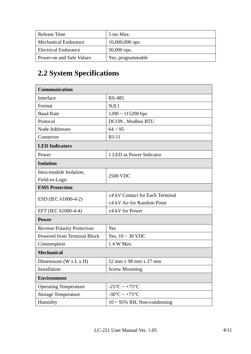| Release Time                | 5 ms Max.         |
|-----------------------------|-------------------|
| <b>Mechanical Endurance</b> | $10,000,000$ ops. |
| <b>Electrical Endurance</b> | $50,000$ ops.     |
| Power-on and Safe Values    | Yes, programmable |

# **2.2 System Specifications**

| <b>Communication</b>                 |                                      |  |  |  |
|--------------------------------------|--------------------------------------|--|--|--|
| Interface                            | <b>RS-485</b>                        |  |  |  |
| Format                               | N, 8, 1                              |  |  |  |
| <b>Baud Rate</b>                     | $1200 \sim 115200$ bps               |  |  |  |
| Protocol                             | DCON, Modbus RTU                     |  |  |  |
| <b>Node Addresses</b>                | $64 \sim 95$                         |  |  |  |
| Connector                            | $RJ-11$                              |  |  |  |
| <b>LED</b> Indicators                |                                      |  |  |  |
| Power                                | 1 LED as Power Indicator             |  |  |  |
| <b>Isolation</b>                     |                                      |  |  |  |
| Intra-module Isolation,              | <b>2500 VDC</b>                      |  |  |  |
| Field-to-Logic                       |                                      |  |  |  |
| <b>EMS Protection</b>                |                                      |  |  |  |
| ESD (IEC 61000-4-2)                  | $\pm$ 4 kV Contact for Each Terminal |  |  |  |
|                                      | $\pm$ 4 kV Air for Random Point      |  |  |  |
| EFT (IEC 61000-4-4)                  | $\pm$ 4 kV for Power                 |  |  |  |
| <b>Power</b>                         |                                      |  |  |  |
| <b>Reverse Polarity Protection</b>   | Yes                                  |  |  |  |
| <b>Powered from Terminal Block</b>   | Yes, $10 \sim 30$ VDC                |  |  |  |
| Consumption                          | 1.4 W Max.                           |  |  |  |
| <b>Mechanical</b>                    |                                      |  |  |  |
| Dimensions ( $W \times L \times H$ ) | 52 mm x 98 mm x 27 mm                |  |  |  |
| Installation                         | <b>Screw Mounting</b>                |  |  |  |
| <b>Environment</b>                   |                                      |  |  |  |
| <b>Operating Temperature</b>         | $-25^{\circ}$ C ~ $+75^{\circ}$ C    |  |  |  |
| <b>Storage Temperature</b>           | $-30^{\circ}$ C ~ $+75^{\circ}$ C    |  |  |  |
| Humidity                             | $10 \sim 95\%$ RH, Non-condensing    |  |  |  |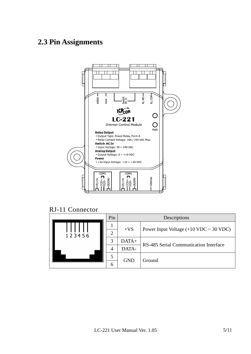#### **2.3 Pin Assignments**



RJ-11 Connector

|  |        | Pin   | Descriptions |                                          |  |
|--|--------|-------|--------------|------------------------------------------|--|
|  |        |       | $+VS$        |                                          |  |
|  | 123456 |       |              | Power Input Voltage $(+10$ VDC ~ 30 VDC) |  |
|  |        | 3     | $DATA+$      | RS-485 Serial Communication Interface    |  |
|  | 4      | DATA- |              |                                          |  |
|  |        |       | <b>GND</b>   | Ground                                   |  |
|  |        | 6     |              |                                          |  |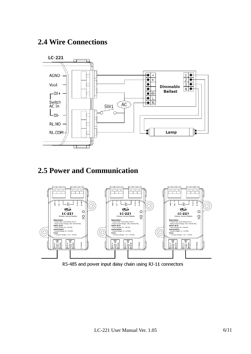#### **2.4 Wire Connections**



#### **2.5 Power and Communication**



RS-485 and power input daisy chain using RJ-11 connectors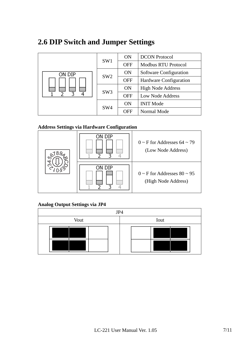#### **2.6 DIP Switch and Jumper Settings**

| on dip | SW <sub>1</sub> | <b>ON</b>  | <b>DCON</b> Protocol       |
|--------|-----------------|------------|----------------------------|
|        |                 | <b>OFF</b> | <b>Modbus RTU Protocol</b> |
|        | SW <sub>2</sub> | <b>ON</b>  | Software Configuration     |
|        |                 | <b>OFF</b> | Hardware Configuration     |
|        | SW3             | <b>ON</b>  | <b>High Node Address</b>   |
| 3<br>4 |                 | <b>OFF</b> | <b>Low Node Address</b>    |
|        | SW <sub>4</sub> | <b>ON</b>  | <b>INIT Mode</b>           |
|        |                 | <b>OFF</b> | Normal Mode                |

#### **Address Settings via Hardware Configuration**



#### **Analog Output Settings via JP4**

| JP4  |      |  |  |  |  |
|------|------|--|--|--|--|
| Vout | Iout |  |  |  |  |
|      |      |  |  |  |  |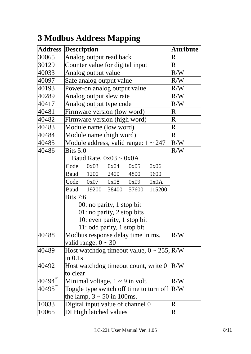|              | <b>Address Description</b>        |                                 |       |                                           |                                                   | Attribute               |
|--------------|-----------------------------------|---------------------------------|-------|-------------------------------------------|---------------------------------------------------|-------------------------|
| 30065        |                                   | Analog output read back         |       |                                           |                                                   |                         |
| 30129        |                                   | Counter value for digital input |       |                                           |                                                   |                         |
| 40033        |                                   | Analog output value             |       |                                           |                                                   | R/W                     |
| 40097        |                                   | Safe analog output value        |       |                                           |                                                   | R/W                     |
| 40193        |                                   |                                 |       | Power-on analog output value              |                                                   | R/W                     |
| 40289        |                                   | Analog output slew rate         |       |                                           |                                                   | R/W                     |
| 40417        |                                   | Analog output type code         |       |                                           |                                                   | R/W                     |
| 40481        |                                   | Firmware version (low word)     |       |                                           |                                                   | $\mathbf R$             |
| 40482        |                                   |                                 |       | Firmware version (high word)              |                                                   | $\mathbf R$             |
| 40483        |                                   | Module name (low word)          |       |                                           |                                                   | $\mathbf R$             |
| 40484        |                                   | Module name (high word)         |       |                                           |                                                   | $\overline{\mathbf{R}}$ |
| 40485        |                                   |                                 |       | Module address, valid range: $1 \sim 247$ |                                                   | R/W                     |
| 40486        | Bits $5:0$                        |                                 |       |                                           |                                                   | R/W                     |
|              |                                   | Baud Rate, $0x03 \sim 0x0A$     |       |                                           |                                                   |                         |
|              | Code                              | 0x03                            | 0x04  | 0x05                                      | 0x06                                              |                         |
|              | Baud                              | 1200                            | 2400  | 4800                                      | 9600                                              |                         |
|              | Code                              | 0x07                            | 0x08  | 0x09                                      | 0x0A                                              |                         |
|              | Baud                              | 19200                           | 38400 | 57600                                     | 115200                                            |                         |
|              | <b>Bits 7:6</b>                   |                                 |       |                                           |                                                   |                         |
|              |                                   | 00: no parity, 1 stop bit       |       |                                           |                                                   |                         |
|              | 01: no parity, 2 stop bits        |                                 |       |                                           |                                                   |                         |
|              | 10: even parity, 1 stop bit       |                                 |       |                                           |                                                   |                         |
|              |                                   | 11: odd parity, 1 stop bit      |       |                                           |                                                   |                         |
| 40488        | Modbus response delay time in ms, |                                 |       |                                           |                                                   | R/W                     |
|              | valid range: $0 \sim 30$          |                                 |       |                                           |                                                   |                         |
| 40489        |                                   |                                 |       |                                           | Host watchdog timeout value, $0 \sim 255$ , $R/W$ |                         |
|              | $\sin 0.1s$                       |                                 |       |                                           |                                                   |                         |
| 40492        |                                   |                                 |       | Host watchdog timeout count, write 0      |                                                   | R/W                     |
|              | to clear                          |                                 |       |                                           |                                                   |                         |
| $40494^{*1}$ |                                   |                                 |       | Minimal voltage, $1 \sim 9$ in volt.      |                                                   | R/W                     |
| $40495^{*1}$ |                                   |                                 |       |                                           | Toggle type switch off time to turn off           | R/W                     |
|              |                                   | the lamp, $3 \sim 50$ in 100ms. |       |                                           |                                                   |                         |
| 10033        |                                   |                                 |       | Digital input value of channel 0          |                                                   | R                       |
| 10065        |                                   | DI High latched values          |       |                                           |                                                   | R                       |

# **3 Modbus Address Mapping**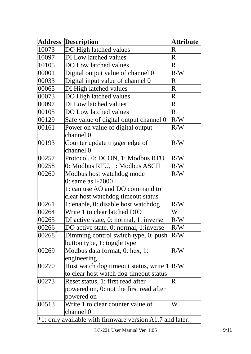| <b>Address</b>                                              | <b>Description</b>                                                                         | <b>Attribute</b>        |  |  |  |
|-------------------------------------------------------------|--------------------------------------------------------------------------------------------|-------------------------|--|--|--|
| 10073                                                       | DO High latched values                                                                     | $\mathbf R$             |  |  |  |
| 10097                                                       | DI Low latched values                                                                      | $\mathbf R$             |  |  |  |
| 10105                                                       | DO Low latched values                                                                      | $\mathbf R$             |  |  |  |
| 00001                                                       | Digital output value of channel 0                                                          | R/W                     |  |  |  |
| 00033                                                       | Digital input value of channel 0                                                           | $\overline{\text{R}}$   |  |  |  |
| 00065                                                       | DI High latched values                                                                     | $\mathbf R$             |  |  |  |
| 00073                                                       | DO High latched values                                                                     | $\mathbf R$             |  |  |  |
| 00097                                                       | DI Low latched values                                                                      | $\mathbf R$             |  |  |  |
| 00105                                                       | DO Low latched values                                                                      | $\overline{\mathbf{R}}$ |  |  |  |
| 00129                                                       | Safe value of digital output channel 0                                                     | R/W                     |  |  |  |
| 00161                                                       | Power on value of digital output<br>channel ()                                             | R/W                     |  |  |  |
| 00193                                                       | Counter update trigger edge of<br>channel 0                                                | R/W                     |  |  |  |
| 00257                                                       | Protocol, 0: DCON, 1: Modbus RTU                                                           | R/W                     |  |  |  |
| 00258                                                       | 0: Modbus RTU, 1: Modbus ASCII                                                             | R/W                     |  |  |  |
| 00260                                                       | Modbus host watchdog mode                                                                  |                         |  |  |  |
|                                                             | R/W<br>$0:$ same as I-7000                                                                 |                         |  |  |  |
|                                                             | 1: can use AO and DO command to                                                            |                         |  |  |  |
|                                                             | clear host watchdog timeout status                                                         |                         |  |  |  |
| 00261                                                       | 1: enable, 0: disable host watchdog                                                        | R/W                     |  |  |  |
| 00264                                                       | Write 1 to clear latched DIO                                                               | W                       |  |  |  |
| 00265                                                       | DI active state, 0: normal, 1: inverse                                                     | R/W                     |  |  |  |
| 00266                                                       | DO active state, 0: normal, 1: inverse                                                     | R/W                     |  |  |  |
| $ 00268^{*1} $                                              | Dimming control switch type, 0: push<br>button type, 1: toggle type                        | R/W                     |  |  |  |
| 00269                                                       | Modbus data format, 0: hex, 1:<br>engineering                                              | R/W                     |  |  |  |
| 00270                                                       | Host watch dog timeout status, write 1<br>to clear host watch dog timeout status           | R/W                     |  |  |  |
| 00273                                                       | Reset status, 1: first read after<br>powered on, 0: not the first read after<br>powered on | $\mathsf R$             |  |  |  |
| 00513                                                       | Write 1 to clear counter value of<br>channel 0                                             | W                       |  |  |  |
| $*1$ : only available with firmware version A1.7 and later. |                                                                                            |                         |  |  |  |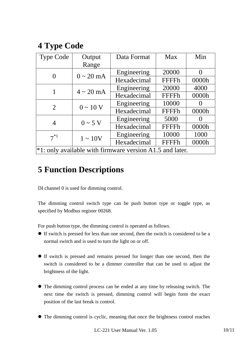## **4 Type Code**

| <b>Type Code</b>                                            | Output                 | Data Format | Max          | Min   |  |  |
|-------------------------------------------------------------|------------------------|-------------|--------------|-------|--|--|
|                                                             | Range                  |             |              |       |  |  |
|                                                             | $0 \sim 20 \text{ mA}$ | Engineering | 20000        |       |  |  |
|                                                             |                        | Hexadecimal | FFFFh        | 0000h |  |  |
|                                                             | $4 \sim 20$ mA         | Engineering | 20000        | 4000  |  |  |
|                                                             |                        | Hexadecimal | <b>FFFFh</b> | 0000h |  |  |
| $\overline{2}$                                              | $0 \sim 10 \text{ V}$  | Engineering | 10000        |       |  |  |
|                                                             |                        | Hexadecimal | <b>FFFFh</b> | 0000h |  |  |
|                                                             | $0 \sim 5$ V           | Engineering | 5000         |       |  |  |
| 4                                                           |                        | Hexadecimal | <b>FFFFh</b> | 0000h |  |  |
| $7^{*1}$                                                    | $1 \sim 10V$           | Engineering | 10000        | 1000  |  |  |
|                                                             |                        | Hexadecimal | <b>FFFFh</b> | 0000h |  |  |
| $*1$ : only available with firmware version A1.5 and later. |                        |             |              |       |  |  |

#### **5 Function Descriptions**

DI channel 0 is used for dimming control.

The dimming control switch type can be push button type or toggle type, as specified by Modbus register 00268.

For push button type, the dimming control is operated as follows.

- If switch is pressed for less than one second, then the switch is considered to be a normal switch and is used to turn the light on or off.
- If switch is pressed and remains pressed for longer than one second, then the switch is considered to be a dimmer controller that can be used to adjust the brightness of the light.
- The dimming control process can be ended at any time by releasing switch. The next time the switch is pressed, dimming control will begin form the exact position of the last break is control.
- The dimming control is cyclic, meaning that once the brightness control reaches